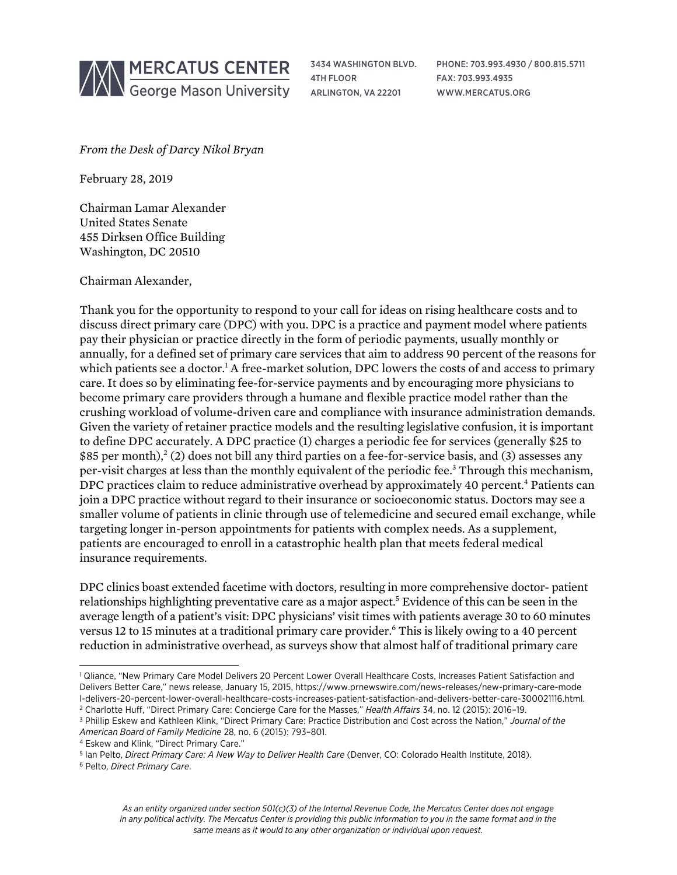

3434 WASHINGTON BLVD. 4TH FLOOR ARLINGTON, VA 22201

PHONE: 703.993.4930 / 800.815.5711 FAX: 703.993.4935 WWW.MERCATUS.ORG

*From the Desk of Darcy Nikol Bryan*

February 28, 2019

Chairman Lamar Alexander United States Senate 455 Dirksen Office Building Washington, DC 20510

Chairman Alexander,

Thank you for the opportunity to respond to your call for ideas on rising healthcare costs and to discuss direct primary care (DPC) with you. DPC is a practice and payment model where patients pay their physician or practice directly in the form of periodic payments, usually monthly or annually, for a defined set of primary care services that aim to address 90 percent of the reasons for which patients see a doctor.<sup>1</sup> A free-market solution, DPC lowers the costs of and access to primary care. It does so by eliminating fee-for-service payments and by encouraging more physicians to become primary care providers through a humane and flexible practice model rather than the crushing workload of volume-driven care and compliance with insurance administration demands. Given the variety of retainer practice models and the resulting legislative confusion, it is important to define DPC accurately. A DPC practice (1) charges a periodic fee for services (generally \$25 to \$85 per month),<sup>2</sup> (2) does not bill any third parties on a fee-for-service basis, and (3) assesses any per-visit charges at less than the monthly equivalent of the periodic fee.3 Through this mechanism, DPC practices claim to reduce administrative overhead by approximately 40 percent.<sup>4</sup> Patients can join a DPC practice without regard to their insurance or socioeconomic status. Doctors may see a smaller volume of patients in clinic through use of telemedicine and secured email exchange, while targeting longer in-person appointments for patients with complex needs. As a supplement, patients are encouraged to enroll in a catastrophic health plan that meets federal medical insurance requirements.

DPC clinics boast extended facetime with doctors, resulting in more comprehensive doctor- patient relationships highlighting preventative care as a major aspect.<sup>5</sup> Evidence of this can be seen in the average length of a patient's visit: DPC physicians' visit times with patients average 30 to 60 minutes versus 12 to 15 minutes at a traditional primary care provider.<sup>6</sup> This is likely owing to a 40 percent reduction in administrative overhead, as surveys show that almost half of traditional primary care

<sup>&</sup>lt;sup>1</sup> Qliance, "New Primary Care Model Delivers 20 Percent Lower Overall Healthcare Costs, Increases Patient Satisfaction and Delivers Better Care," news release, January 15, 2015, [https://www.prnewswire.com/news-releases/new-primary-care-mode](https://www.prnewswire.com/news-releases/new-primary-care-model-delivers-20-percent-lower-overall-healthcare-costs-increases-patient-satisfaction-and-delivers-better-care-300021116.html) [l-delivers-20-percent-lower-overall-healthcare-costs-increases-patient-satisfaction-and-delivers-better-care-300021116.html.](https://www.prnewswire.com/news-releases/new-primary-care-model-delivers-20-percent-lower-overall-healthcare-costs-increases-patient-satisfaction-and-delivers-better-care-300021116.html) <sup>2</sup> Charlotte Huff, "Direct Primary Care: Concierge Care for the Masses," *Health Affairs* 34, no. 12 (2015): 2016–19.

<sup>3</sup> Phillip Eskew and Kathleen Klink, "Direct Primary Care: Practice Distribution and Cost across the Nation," *Journal of the American Board of Family Medicine* 28, no. 6 (2015): 793–801.

<sup>4</sup> Eskew and Klink, "Direct Primary Care."

<sup>5</sup> Ian Pelto, *Direct Primary Care: A New Way to Deliver Health Care* (Denver, CO: Colorado Health Institute, 2018).

<sup>6</sup> Pelto, *Direct Primary Care*.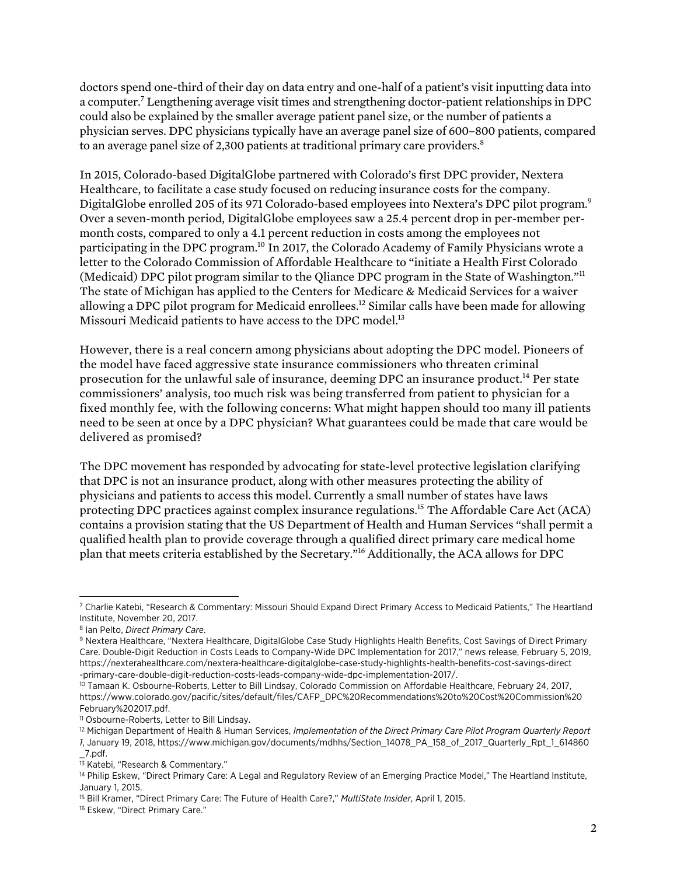doctors spend one-third of their day on data entry and one-half of a patient's visit inputting data into a computer.7 Lengthening average visit times and strengthening doctor-patient relationships in DPC could also be explained by the smaller average patient panel size, or the number of patients a physician serves. DPC physicians typically have an average panel size of 600–800 patients, compared to an average panel size of 2,300 patients at traditional primary care providers.<sup>8</sup>

In 2015, Colorado-based DigitalGlobe partnered with Colorado's first DPC provider, Nextera Healthcare, to facilitate a case study focused on reducing insurance costs for the company. DigitalGlobe enrolled 205 of its 971 Colorado-based employees into Nextera's DPC pilot program.<sup>9</sup> Over a seven-month period, DigitalGlobe employees saw a 25.4 percent drop in per-member permonth costs, compared to only a 4.1 percent reduction in costs among the employees not participating in the DPC program.10 In 2017, the Colorado Academy of Family Physicians wrote a letter to the Colorado Commission of Affordable Healthcare to "initiate a Health First Colorado (Medicaid) DPC pilot program similar to the Qliance DPC program in the State of Washington."11 The state of Michigan has applied to the Centers for Medicare & Medicaid Services for a waiver allowing a DPC pilot program for Medicaid enrollees.12 Similar calls have been made for allowing Missouri Medicaid patients to have access to the DPC model.<sup>13</sup>

However, there is a real concern among physicians about adopting the DPC model. Pioneers of the model have faced aggressive state insurance commissioners who threaten criminal prosecution for the unlawful sale of insurance, deeming DPC an insurance product.14 Per state commissioners' analysis, too much risk was being transferred from patient to physician for a fixed monthly fee, with the following concerns: What might happen should too many ill patients need to be seen at once by a DPC physician? What guarantees could be made that care would be delivered as promised?

The DPC movement has responded by advocating for state-level protective legislation clarifying that DPC is not an insurance product, along with other measures protecting the ability of physicians and patients to access this model. Currently a small number of states have laws protecting DPC practices against complex insurance regulations.15 The Affordable Care Act (ACA) contains a provision stating that the US Department of Health and Human Services "shall permit a qualified health plan to provide coverage through a qualified direct primary care medical home plan that meets criteria established by the Secretary."16 Additionally, the ACA allows for DPC

l

<sup>7</sup> Charlie Katebi, "Research & Commentary: Missouri Should Expand Direct Primary Access to Medicaid Patients," The Heartland Institute, November 20, 2017.

<sup>8</sup> Ian Pelto, *Direct Primary Care*.

<sup>9</sup> Nextera Healthcare, "Nextera Healthcare, DigitalGlobe Case Study Highlights Health Benefits, Cost Savings of Direct Primary Care. Double-Digit Reduction in Costs Leads to Company-Wide DPC Implementation for 2017," news release, February 5, 2019, [https://nexterahealthcare.com/nextera-healthcare-digitalglobe-case-study-highlights-health-benefits-cost-savings-direct](https://nexterahealthcare.com/nextera-healthcare-digitalglobe-case-study-highlights-health-benefits-cost-savings-direct-primary-care-double-digit-reduction-costs-leads-company-wide-dpc-implementation-2017/) [-primary-care-double-digit-reduction-costs-leads-company-wide-dpc-implementation-2017/.](https://www.prnewswire.com/news-releases/new-primary-care-model-delivers-20-percent-lower-overall-healthcare-costs-increases-patient-satisfaction-and-delivers-better-care-300021116.html)

<sup>10</sup> Tamaan K. Osbourne-Roberts, Letter to Bill Lindsay, Colorado Commission on Affordable Healthcare, February 24, 2017, [https://www.colorado.gov/pacific/sites/default/files/CAFP\\_DPC%20Recommendations%20to%20Cost%20Commission%20](https://www.colorado.gov/pacific/sites/default/files/CAFP_DPC%20Recommendations%20to%20Cost%20Commission%20February%202017.pdf) [February%202017.pdf.](https://www.colorado.gov/pacific/sites/default/files/CAFP_DPC%20Recommendations%20to%20Cost%20Commission%20February%202017.pdf)

<sup>11</sup> Osbourne-Roberts, Letter to Bill Lindsay.

<sup>12</sup> Michigan Department of Health & Human Services, *Implementation of the Direct Primary Care Pilot Program Quarterly Report* 

*<sup>1</sup>*, January 19, 2018, [https://www.michigan.gov/documents/mdhhs/Section\\_14078\\_PA\\_158\\_of\\_2017\\_Quarterly\\_Rpt\\_1\\_614860](https://www.michigan.gov/documents/mdhhs/Section_14078_PA_158_of_2017_Quarterly_Rpt_1_614860_7.pdf)  $_7.$ pdf.

<sup>&</sup>lt;sup>13</sup> Katebi, "Research & Commentary."

<sup>14</sup> Philip Eskew, "Direct Primary Care: A Legal and Regulatory Review of an Emerging Practice Model," The Heartland Institute, January 1, 2015.

<sup>15</sup> Bill Kramer, "Direct Primary Care: The Future of Health Care?," *MultiState Insider*, April 1, 2015.

<sup>&</sup>lt;sup>16</sup> Eskew, "Direct Primary Care."